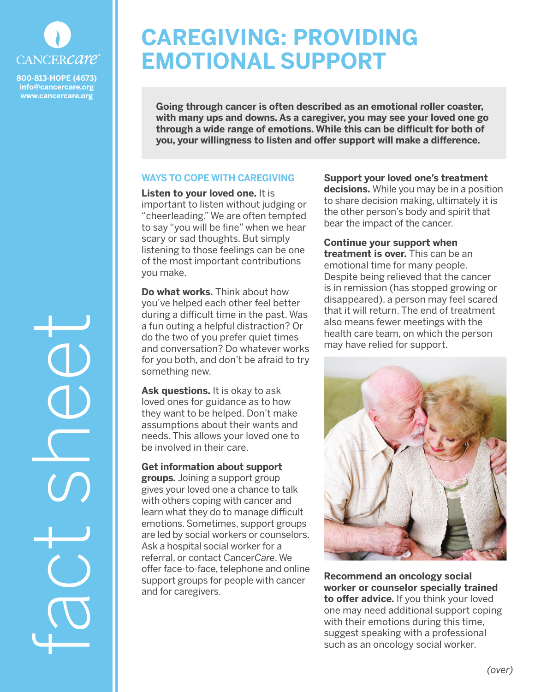

**info@cancercare.org www.cancercare.org**

# **CAREGIVING: PROVIDING EMOTIONAL SUPPORT**

**Going through cancer is often described as an emotional roller coaster, with many ups and downs. As a caregiver, you may see your loved one go through a wide range of emotions. While this can be difficult for both of you, your willingness to listen and offer support will make a difference.**

## **WAYS TO COPE WITH CAREGIVING**

**Listen to your loved one.** It is important to listen without judging or "cheerleading." We are often tempted to say "you will be fine" when we hear scary or sad thoughts. But simply listening to those feelings can be one of the most important contributions you make.

**Do what works.** Think about how you've helped each other feel better during a difficult time in the past. Was a fun outing a helpful distraction? Or do the two of you prefer quiet times and conversation? Do whatever works for you both, and don't be afraid to try something new.

**Ask questions.** It is okay to ask loved ones for guidance as to how they want to be helped. Don't make assumptions about their wants and needs. This allows your loved one to be involved in their care.

## **Get information about support**

**groups.** Joining a support group gives your loved one a chance to talk with others coping with cancer and learn what they do to manage difficult emotions. Sometimes, support groups are led by social workers or counselors. Ask a hospital social worker for a referral, or contact Cancer*Care*. We offer face-to-face, telephone and online support groups for people with cancer and for caregivers.

**Support your loved one's treatment decisions.** While you may be in a position to share decision making, ultimately it is the other person's body and spirit that bear the impact of the cancer.

**Continue your support when treatment is over.** This can be an emotional time for many people. Despite being relieved that the cancer is in remission (has stopped growing or disappeared), a person may feel scared that it will return. The end of treatment also means fewer meetings with the health care team, on which the person may have relied for support.



**Recommend an oncology social worker or counselor specially trained to offer advice.** If you think your loved one may need additional support coping with their emotions during this time, suggest speaking with a professional such as an oncology social worker.